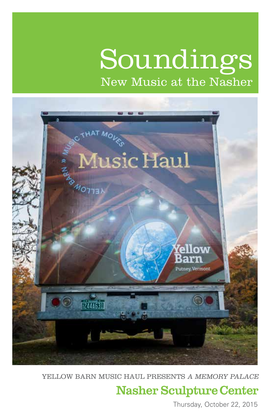# Soundings New Music at the Nasher



YELLOW BARN MUSIC HAUL PRESENTS A MEMORY PALACE

## **Nasher Sculpture Center**

Thursday, October 22, 2015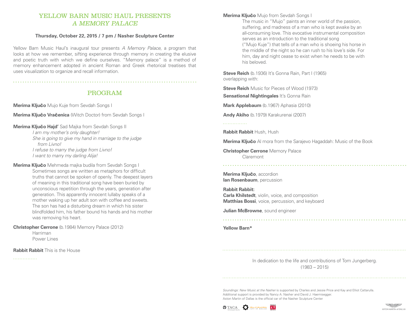#### YELLOW BARN MUSIC HAUL PRESENTS A MEMORY PALACE

#### **Thursday, October 22, 2015 / 7 pm / Nasher Sculpture Center**

Yellow Barn Music Haul's inaugural tour presents *A Memory Palace*, a program that looks at how we remember, sifting experience through memory in creating the elusive and poetic truth with which we define ourselves. "Memory palace" is a method of memory enhancement adopted in ancient Roman and Greek rhetorical treatises that uses visualization to organize and recall information.

#### PROGRAM

**Merima Klju**č**o** Mujo Kuje from Sevdah Songs I

**Merima Klju**č**o Vra**č**enica** (Witch Doctor) from Sevdah Songs I

**Merima Klju**č**o Hajd'** Sad Majka from Sevdah Songs II

*I am my mother's only daughter! She is going to give my hand in marriage to the judge from Livno! I refuse to marry the judge from Livno! I want to marry my darling Alija!*

**Merima Klju**č**o** Mehmeda majka budila from Sevdah Songs I Sometimes songs are written as metaphors for difficult truths that cannot be spoken of openly. The deepest layers of meaning in this traditional song have been buried by unconscious repetition through the years, generation after generation. This apparently innocent lullaby speaks of a mother waking up her adult son with coffee and sweets. The son has had a disturbing dream in which his sister blindfolded him, his father bound his hands and his mother was removing his heart.

**Christopher Cerrone** (b.1984) Memory Palace (2012) Harriman Power Lines

**Rabbit Rabbit** This is the House

#### **Merima Klju**č**o** Mujo from Sevdah Songs I

The music in "Mujo" paints an inner world of the passion, suffering, and madness of a man who is kept awake by an all-consuming love. This evocative instrumental composition serves as an introduction to the traditional song ("Mujo Kuje") that tells of a man who is shoeing his horse in the middle of the night so he can rush to his love's side. For him, day and night cease to exist when he needs to be with his beloved.

**Steve Reich** (b.1936) It's Gonna Rain, Part I (1965) overlapping with:

**Steve Reich** Music for Pieces of Wood (1973)

**Sensational Nightingales** It's Gonna Rain

**Mark Applebaum** (b.1967) Aphasia (2010)

**Andy Akiho** (b.1979) Karakurenai (2007)

. . . . . . . . . . . . . . .

**Rabbit Rabbit** Hush, Hush

**Merima Klju**č**o** Al mora from the Sarajevo Hagaddah: Music of the Book

**Christopher Cerrone** Memory Palace Claremont

**Merima Klju**č**o**, accordion **Ian Rosenbaum**, percussion

**Rabbit Rabbit: Carla Khilstedt**, violin, voice, and composition **Matthias Bossi**, voice, percussion, and keyboard

**Julian McBrowne**, sound engineer

**Yellow Barn\***

In dedication to the life and contributions of Tom Jungerberg. (1983 – 2015)

*Soundings: New Music at the Nasher* is supported by Charles and Jessie Price and Kay and Elliot Cattarulla. Additional support is provided by Nancy A. Nasher and David J. Haemisegger. Aston Martin of Dallas is the official car of the Nasher Sculpture Center